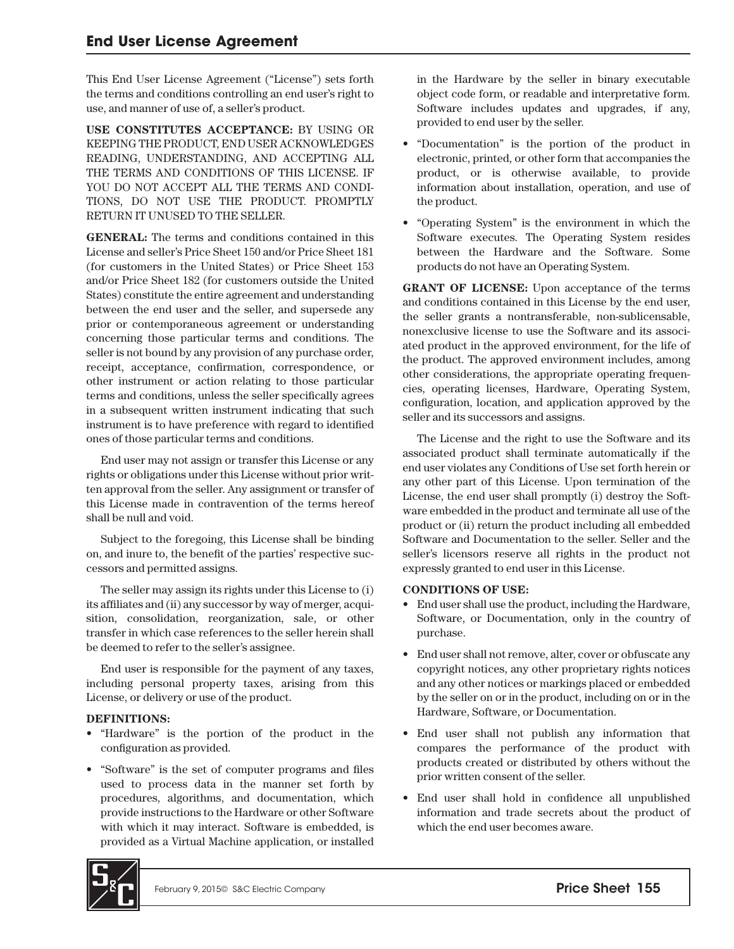This End User License Agreement ("License") sets forth the terms and conditions controlling an end user's right to use, and manner of use of, a seller's product.

**USE CONSTITUTES ACCEPTANCE:** BY USING OR KEEPING THE PRODUCT, END USER ACKNOWLEDGES READING, UNDERSTANDING, AND ACCEPTING ALL THE TERMS AND CONDITIONS OF THIS LICENSE. IF YOU DO NOT ACCEPT ALL THE TERMS AND CONDI-TIONS, DO NOT USE THE PRODUCT. PROMPTLY RETURN IT UNUSED TO THE SELLER.

**GENERAL:** The terms and conditions contained in this License and seller's Price Sheet 150 and/or Price Sheet 181 (for customers in the United States) or Price Sheet 153 and/or Price Sheet 182 (for customers outside the United States) constitute the entire agreement and understanding between the end user and the seller, and supersede any prior or contemporaneous agreement or understanding concerning those particular terms and conditions. The seller is not bound by any provision of any purchase order, receipt, acceptance, confirmation, correspondence, or other instrument or action relating to those particular terms and conditions, unless the seller specifically agrees in a subsequent written instrument indicating that such instrument is to have preference with regard to identified ones of those particular terms and conditions.

End user may not assign or transfer this License or any rights or obligations under this License without prior written approval from the seller. Any assignment or transfer of this License made in contravention of the terms hereof shall be null and void.

Subject to the foregoing, this License shall be binding on, and inure to, the benefit of the parties' respective successors and permitted assigns.

The seller may assign its rights under this License to (i) its affiliates and (ii) any successor by way of merger, acquisition, consolidation, reorganization, sale, or other transfer in which case references to the seller herein shall be deemed to refer to the seller's assignee.

End user is responsible for the payment of any taxes, including personal property taxes, arising from this License, or delivery or use of the product.

## **DEFINITIONS:**

- "Hardware" is the portion of the product in the configuration as provided.
- "Software" is the set of computer programs and files used to process data in the manner set forth by procedures, algorithms, and documentation, which provide instructions to the Hardware or other Software with which it may interact. Software is embedded, is provided as a Virtual Machine application, or installed

in the Hardware by the seller in binary executable object code form, or readable and interpretative form. Software includes updates and upgrades, if any, provided to end user by the seller.

- "Documentation" is the portion of the product in electronic, printed, or other form that accompanies the product, or is otherwise available, to provide information about installation, operation, and use of the product.
- "Operating System" is the environment in which the Software executes. The Operating System resides between the Hardware and the Software. Some products do not have an Operating System.

**GRANT OF LICENSE:** Upon acceptance of the terms and conditions contained in this License by the end user, the seller grants a nontransferable, non-sublicensable, nonexclusive license to use the Software and its associated product in the approved environment, for the life of the product. The approved environment includes, among other considerations, the appropriate operating frequencies, operating licenses, Hardware, Operating System, configuration, location, and application approved by the seller and its successors and assigns.

The License and the right to use the Software and its associated product shall terminate automatically if the end user violates any Conditions of Use set forth herein or any other part of this License. Upon termination of the License, the end user shall promptly (i) destroy the Software embedded in the product and terminate all use of the product or (ii) return the product including all embedded Software and Documentation to the seller. Seller and the seller's licensors reserve all rights in the product not expressly granted to end user in this License.

## **CONDITIONS OF USE:**

- End user shall use the product, including the Hardware, Software, or Documentation, only in the country of purchase.
- End user shall not remove, alter, cover or obfuscate any copyright notices, any other proprietary rights notices and any other notices or markings placed or embedded by the seller on or in the product, including on or in the Hardware, Software, or Documentation.
- End user shall not publish any information that compares the performance of the product with products created or distributed by others without the prior written consent of the seller.
- End user shall hold in confidence all unpublished information and trade secrets about the product of which the end user becomes aware.